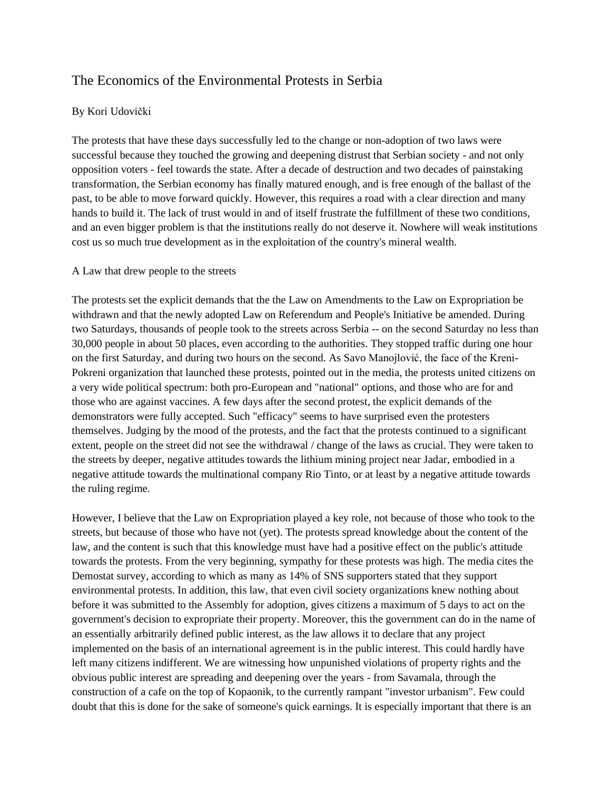# The Economics of the Environmental Protests in Serbia

## By Kori Udovički

The protests that have these days successfully led to the change or non-adoption of two laws were successful because they touched the growing and deepening distrust that Serbian society - and not only opposition voters - feel towards the state. After a decade of destruction and two decades of painstaking transformation, the Serbian economy has finally matured enough, and is free enough of the ballast of the past, to be able to move forward quickly. However, this requires a road with a clear direction and many hands to build it. The lack of trust would in and of itself frustrate the fulfillment of these two conditions, and an even bigger problem is that the institutions really do not deserve it. Nowhere will weak institutions cost us so much true development as in the exploitation of the country's mineral wealth.

## A Law that drew people to the streets

The protests set the explicit demands that the the Law on Amendments to the Law on Expropriation be withdrawn and that the newly adopted Law on Referendum and People's Initiative be amended. During two Saturdays, thousands of people took to the streets across Serbia -- on the second Saturday no less than 30,000 people in about 50 places, even according to the authorities. They stopped traffic during one hour on the first Saturday, and during two hours on the second. As Savo Manojlović, the face of the Kreni-Pokreni organization that launched these protests, pointed out in the media, the protests united citizens on a very wide political spectrum: both pro-European and "national" options, and those who are for and those who are against vaccines. A few days after the second protest, the explicit demands of the demonstrators were fully accepted. Such "efficacy" seems to have surprised even the protesters themselves. Judging by the mood of the protests, and the fact that the protests continued to a significant extent, people on the street did not see the withdrawal / change of the laws as crucial. They were taken to the streets by deeper, negative attitudes towards the lithium mining project near Jadar, embodied in a negative attitude towards the multinational company Rio Tinto, or at least by a negative attitude towards the ruling regime.

However, I believe that the Law on Expropriation played a key role, not because of those who took to the streets, but because of those who have not (yet). The protests spread knowledge about the content of the law, and the content is such that this knowledge must have had a positive effect on the public's attitude towards the protests. From the very beginning, sympathy for these protests was high. The media cites the Demostat survey, according to which as many as 14% of SNS supporters stated that they support environmental protests. In addition, this law, that even civil society organizations knew nothing about before it was submitted to the Assembly for adoption, gives citizens a maximum of 5 days to act on the government's decision to expropriate their property. Moreover, this the government can do in the name of an essentially arbitrarily defined public interest, as the law allows it to declare that any project implemented on the basis of an international agreement is in the public interest. This could hardly have left many citizens indifferent. We are witnessing how unpunished violations of property rights and the obvious public interest are spreading and deepening over the years - from Savamala, through the construction of a cafe on the top of Kopaonik, to the currently rampant "investor urbanism". Few could doubt that this is done for the sake of someone's quick earnings. It is especially important that there is an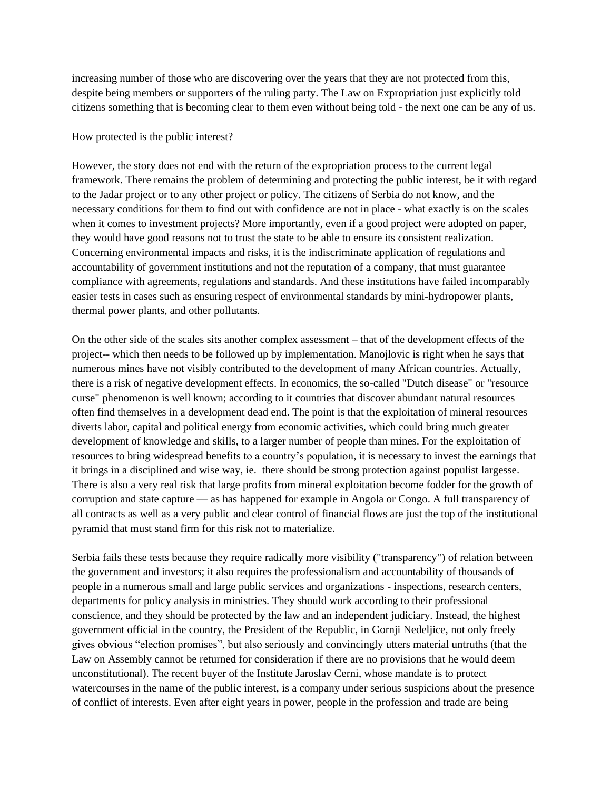increasing number of those who are discovering over the years that they are not protected from this, despite being members or supporters of the ruling party. The Law on Expropriation just explicitly told citizens something that is becoming clear to them even without being told - the next one can be any of us.

#### How protected is the public interest?

However, the story does not end with the return of the expropriation process to the current legal framework. There remains the problem of determining and protecting the public interest, be it with regard to the Jadar project or to any other project or policy. The citizens of Serbia do not know, and the necessary conditions for them to find out with confidence are not in place - what exactly is on the scales when it comes to investment projects? More importantly, even if a good project were adopted on paper, they would have good reasons not to trust the state to be able to ensure its consistent realization. Concerning environmental impacts and risks, it is the indiscriminate application of regulations and accountability of government institutions and not the reputation of a company, that must guarantee compliance with agreements, regulations and standards. And these institutions have failed incomparably easier tests in cases such as ensuring respect of environmental standards by mini-hydropower plants, thermal power plants, and other pollutants.

On the other side of the scales sits another complex assessment – that of the development effects of the project-- which then needs to be followed up by implementation. Manojlovic is right when he says that numerous mines have not visibly contributed to the development of many African countries. Actually, there is a risk of negative development effects. In economics, the so-called "Dutch disease" or "resource curse" phenomenon is well known; according to it countries that discover abundant natural resources often find themselves in a development dead end. The point is that the exploitation of mineral resources diverts labor, capital and political energy from economic activities, which could bring much greater development of knowledge and skills, to a larger number of people than mines. For the exploitation of resources to bring widespread benefits to a country's population, it is necessary to invest the earnings that it brings in a disciplined and wise way, ie. there should be strong protection against populist largesse. There is also a very real risk that large profits from mineral exploitation become fodder for the growth of corruption and state capture — as has happened for example in Angola or Congo. A full transparency of all contracts as well as a very public and clear control of financial flows are just the top of the institutional pyramid that must stand firm for this risk not to materialize.

Serbia fails these tests because they require radically more visibility ("transparency") of relation between the government and investors; it also requires the professionalism and accountability of thousands of people in a numerous small and large public services and organizations - inspections, research centers, departments for policy analysis in ministries. They should work according to their professional conscience, and they should be protected by the law and an independent judiciary. Instead, the highest government official in the country, the President of the Republic, in Gornji Nedeljice, not only freely gives obvious "election promises", but also seriously and convincingly utters material untruths (that the Law on Assembly cannot be returned for consideration if there are no provisions that he would deem unconstitutional). The recent buyer of the Institute Jaroslav Cerni, whose mandate is to protect watercourses in the name of the public interest, is a company under serious suspicions about the presence of conflict of interests. Even after eight years in power, people in the profession and trade are being